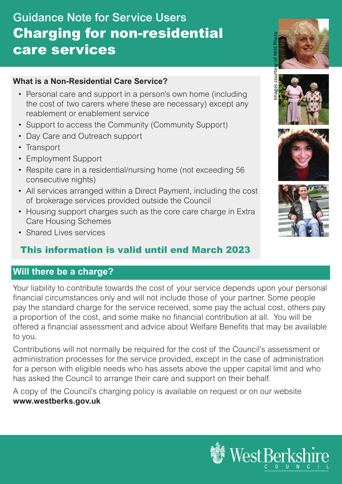# Guidance Note for Service Users Charging for non-residential care services

#### **What is a Non-Residential Care Service?**

- Personal care and support in a person's own home (including the cost of two carers where these are necessary) except any reablement or enablement service
- Support to access the Community (Community Support)
- Day Care and Outreach support
- Transport
- Employment Support
- Respite care in a residential/nursing home (not exceeding 56 consecutive nights)
- All services arranged within a Direct Payment, including the cost of brokerage services provided outside the Council
- Housing support charges such as the core care charge in Extra Care Housing Schemes
- Shared Lives services

# This information is valid until end March 2023

## **Will there be a charge?**

Your liability to contribute towards the cost of your service depends upon your personal financial circumstances only and will not include those of your partner. Some people pay the standard charge for the service received, some pay the actual cost, others pay a proportion of the cost, and some make no financial contribution at all. You will be offered a financial assessment and advice about Welfare Benefits that may be available to you.

Contributions will not normally be required for the cost of the Council's assessment or administration processes for the service provided, except in the case of administration for a person with eligible needs who has assets above the upper capital limit and who has asked the Council to arrange their care and support on their behalf.

A copy of the Council's charging policy is available on request or on our website **www.westberks.gov.uk** 









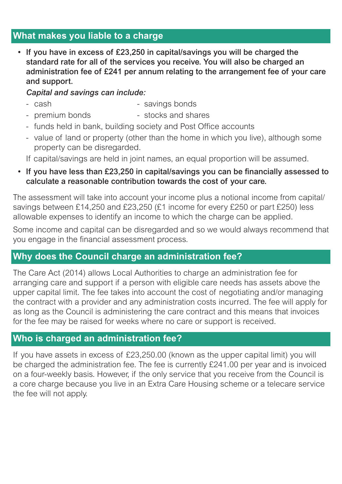## **What makes you liable to a charge**

• If you have in excess of £23,250 in capital/savings you will be charged the standard rate for all of the services you receive. You will also be charged an administration fee of £241 per annum relating to the arrangement fee of your care and support.

#### *Capital and savings can include:*

- cash  $-$  savings bonds
- premium bonds stocks and shares
- funds held in bank, building society and Post Office accounts
- value of land or property (other than the home in which you live), although some property can be disregarded.
- If capital/savings are held in joint names, an equal proportion will be assumed.
- If you have less than £23,250 in capital/savings you can be financially assessed to calculate a reasonable contribution towards the cost of your care.

The assessment will take into account your income plus a notional income from capital/ savings between £14,250 and £23,250 (£1 income for every £250 or part £250) less allowable expenses to identify an income to which the charge can be applied.

Some income and capital can be disregarded and so we would always recommend that you engage in the financial assessment process.

## **Why does the Council charge an administration fee?**

The Care Act (2014) allows Local Authorities to charge an administration fee for arranging care and support if a person with eligible care needs has assets above the upper capital limit. The fee takes into account the cost of negotiating and/or managing the contract with a provider and any administration costs incurred. The fee will apply for as long as the Council is administering the care contract and this means that invoices for the fee may be raised for weeks where no care or support is received.

### **Who is charged an administration fee?**

If you have assets in excess of £23,250.00 (known as the upper capital limit) you will be charged the administration fee. The fee is currently £241.00 per year and is invoiced on a four-weekly basis. However, if the only service that you receive from the Council is a core charge because you live in an Extra Care Housing scheme or a telecare service the fee will not apply.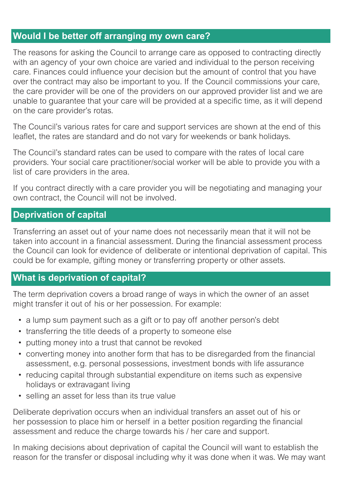# **Would I be better off arranging my own care?**

The reasons for asking the Council to arrange care as opposed to contracting directly with an agency of your own choice are varied and individual to the person receiving care. Finances could influence your decision but the amount of control that you have over the contract may also be important to you. If the Council commissions your care, the care provider will be one of the providers on our approved provider list and we are unable to guarantee that your care will be provided at a specific time, as it will depend on the care provider's rotas.

The Council's various rates for care and support services are shown at the end of this leaflet, the rates are standard and do not vary for weekends or bank holidays.

The Council's standard rates can be used to compare with the rates of local care providers. Your social care practitioner/social worker will be able to provide you with a list of care providers in the area.

If you contract directly with a care provider you will be negotiating and managing your own contract, the Council will not be involved.

#### **Deprivation of capital**

Transferring an asset out of your name does not necessarily mean that it will not be taken into account in a financial assessment. During the financial assessment process the Council can look for evidence of deliberate or intentional deprivation of capital. This could be for example, gifting money or transferring property or other assets.

### **What is deprivation of capital?**

The term deprivation covers a broad range of ways in which the owner of an asset might transfer it out of his or her possession. For example:

- a lump sum payment such as a gift or to pay off another person's debt
- transferring the title deeds of a property to someone else
- putting money into a trust that cannot be revoked
- converting money into another form that has to be disregarded from the financial assessment, e.g. personal possessions, investment bonds with life assurance
- reducing capital through substantial expenditure on items such as expensive holidays or extravagant living
- selling an asset for less than its true value

Deliberate deprivation occurs when an individual transfers an asset out of his or her possession to place him or herself in a better position regarding the financial assessment and reduce the charge towards his / her care and support.

In making decisions about deprivation of capital the Council will want to establish the reason for the transfer or disposal including why it was done when it was. We may want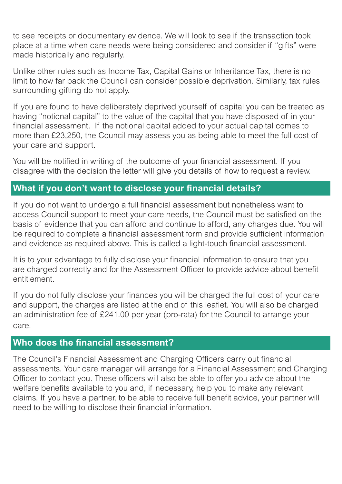to see receipts or documentary evidence. We will look to see if the transaction took place at a time when care needs were being considered and consider if "gifts" were made historically and regularly.

Unlike other rules such as Income Tax, Capital Gains or Inheritance Tax, there is no limit to how far back the Council can consider possible deprivation. Similarly, tax rules surrounding gifting do not apply.

If you are found to have deliberately deprived yourself of capital you can be treated as having "notional capital" to the value of the capital that you have disposed of in your financial assessment. If the notional capital added to your actual capital comes to more than £23,250, the Council may assess you as being able to meet the full cost of your care and support.

You will be notified in writing of the outcome of your financial assessment. If you disagree with the decision the letter will give you details of how to request a review.

# **What if you don't want to disclose your financial details?**

If you do not want to undergo a full financial assessment but nonetheless want to access Council support to meet your care needs, the Council must be satisfied on the basis of evidence that you can afford and continue to afford, any charges due. You will be required to complete a financial assessment form and provide sufficient information and evidence as required above. This is called a light-touch financial assessment.

It is to your advantage to fully disclose your financial information to ensure that you are charged correctly and for the Assessment Officer to provide advice about benefit entitlement.

If you do not fully disclose your finances you will be charged the full cost of your care and support, the charges are listed at the end of this leaflet. You will also be charged an administration fee of £241.00 per year (pro-rata) for the Council to arrange your care.

#### **Who does the financial assessment?**

The Council's Financial Assessment and Charging Officers carry out financial assessments. Your care manager will arrange for a Financial Assessment and Charging Officer to contact you. These officers will also be able to offer you advice about the welfare benefits available to you and, if necessary, help you to make any relevant claims. If you have a partner, to be able to receive full benefit advice, your partner will need to be willing to disclose their financial information.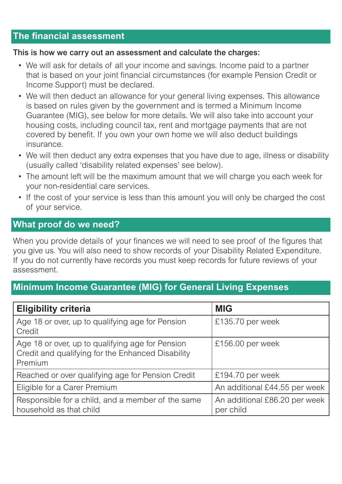## **The financial assessment**

#### This is how we carry out an assessment and calculate the charges:

- We will ask for details of all your income and savings. Income paid to a partner that is based on your joint financial circumstances (for example Pension Credit or Income Support) must be declared.
- We will then deduct an allowance for your general living expenses. This allowance is based on rules given by the government and is termed a Minimum Income Guarantee (MIG), see below for more details. We will also take into account your housing costs, including council tax, rent and mortgage payments that are not covered by benefit. If you own your own home we will also deduct buildings insurance.
- We will then deduct any extra expenses that you have due to age, illness or disability (usually called 'disability related expenses' see below).
- The amount left will be the maximum amount that we will charge you each week for your non-residential care services.
- If the cost of your service is less than this amount you will only be charged the cost of your service.

#### **What proof do we need?**

When you provide details of your finances we will need to see proof of the figures that you give us. You will also need to show records of your Disability Related Expenditure. If you do not currently have records you must keep records for future reviews of your assessment.

## **Minimum Income Guarantee (MIG) for General Living Expenses**

| <b>Eligibility criteria</b>                                                                                      | <b>MIG</b>                                 |  |
|------------------------------------------------------------------------------------------------------------------|--------------------------------------------|--|
| Age 18 or over, up to qualifying age for Pension<br>Credit                                                       | £135.70 per week                           |  |
| Age 18 or over, up to qualifying age for Pension<br>Credit and qualifying for the Enhanced Disability<br>Premium | £156.00 per week                           |  |
| Reached or over qualifying age for Pension Credit                                                                | £194.70 per week                           |  |
| Eligible for a Carer Premium                                                                                     | An additional £44.55 per week              |  |
| Responsible for a child, and a member of the same<br>household as that child                                     | An additional £86.20 per week<br>per child |  |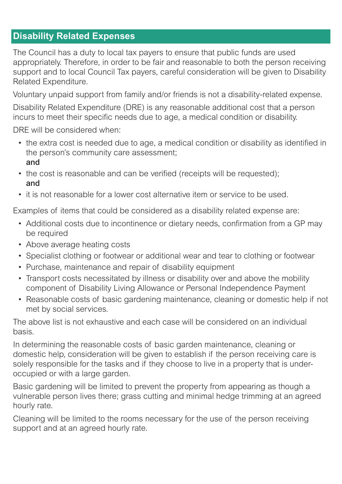## **Disability Related Expenses**

The Council has a duty to local tax payers to ensure that public funds are used appropriately. Therefore, in order to be fair and reasonable to both the person receiving support and to local Council Tax payers, careful consideration will be given to Disability Related Expenditure.

Voluntary unpaid support from family and/or friends is not a disability-related expense.

Disability Related Expenditure (DRE) is any reasonable additional cost that a person incurs to meet their specific needs due to age, a medical condition or disability.

DRE will be considered when:

- the extra cost is needed due to age, a medical condition or disability as identified in the person's community care assessment; and
- the cost is reasonable and can be verified (receipts will be requested); and
- it is not reasonable for a lower cost alternative item or service to be used.

Examples of items that could be considered as a disability related expense are:

- Additional costs due to incontinence or dietary needs, confirmation from a GP may be required
- Above average heating costs
- Specialist clothing or footwear or additional wear and tear to clothing or footwear
- Purchase, maintenance and repair of disability equipment
- Transport costs necessitated by illness or disability over and above the mobility component of Disability Living Allowance or Personal Independence Payment
- Reasonable costs of basic gardening maintenance, cleaning or domestic help if not met by social services.

The above list is not exhaustive and each case will be considered on an individual basis.

In determining the reasonable costs of basic garden maintenance, cleaning or domestic help, consideration will be given to establish if the person receiving care is solely responsible for the tasks and if they choose to live in a property that is underoccupied or with a large garden.

Basic gardening will be limited to prevent the property from appearing as though a vulnerable person lives there; grass cutting and minimal hedge trimming at an agreed hourly rate.

Cleaning will be limited to the rooms necessary for the use of the person receiving support and at an agreed hourly rate.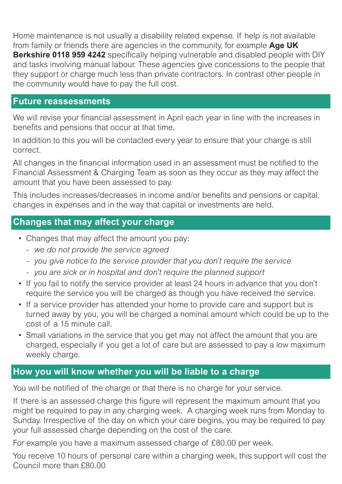Home maintenance is not usually a disability related expense. If help is not available from family or friends there are agencies in the community, for example **Age UK Berkshire 0118 959 4242** specifically helping vulnerable and disabled people with DIY and tasks involving manual labour. These agencies give concessions to the people that they support or charge much less than private contractors. In contrast other people in the community would have to pay the full cost.

#### **Future reassessments**

We will revise your financial assessment in April each year in line with the increases in benefits and pensions that occur at that time.

In addition to this you will be contacted every year to ensure that your charge is still correct.

All changes in the financial information used in an assessment must be notified to the Financial Assessment & Charging Team as soon as they occur as they may affect the amount that you have been assessed to pay.

This includes increases/decreases in income and/or benefits and pensions or capital, changes in expenses and in the way that capital or investments are held.

## **Changes that may affect your charge**

- Changes that may affect the amount you pay:
	- *we do not provide the service agreed*
	- *- you give notice to the service provider that you don't require the service*
	- *- you are sick or in hospital and don't require the planned support*
- If you fail to notify the service provider at least 24 hours in advance that you don't require the service you will be charged as though you have received the service.
- If a service provider has attended your home to provide care and support but is turned away by you, you will be charged a nominal amount which could be up to the cost of a 15 minute call.
- Small variations in the service that you get may not affect the amount that you are charged, especially if you get a lot of care but are assessed to pay a low maximum weekly charge.

# **How you will know whether you will be liable to a charge**

You will be notified of the charge or that there is no charge for your service.

If there is an assessed charge this figure will represent the maximum amount that you might be required to pay in any charging week. A charging week runs from Monday to Sunday. Irrespective of the day on which your care begins, you may be required to pay your full assessed charge depending on the cost of the care.

For example you have a maximum assessed charge of £80.00 per week.

You receive 10 hours of personal care within a charging week, this support will cost the Council more than £80.00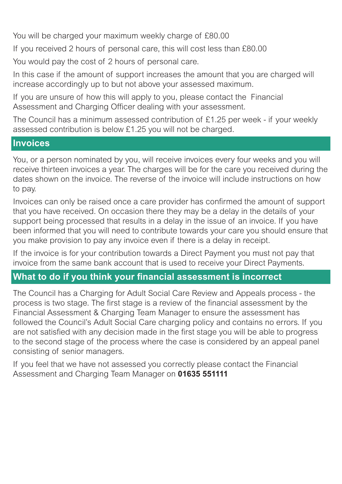You will be charged your maximum weekly charge of £80.00

If you received 2 hours of personal care, this will cost less than £80.00

You would pay the cost of 2 hours of personal care.

In this case if the amount of support increases the amount that you are charged will increase accordingly up to but not above your assessed maximum.

If you are unsure of how this will apply to you, please contact the Financial Assessment and Charging Officer dealing with your assessment.

The Council has a minimum assessed contribution of £1.25 per week - if your weekly assessed contribution is below £1.25 you will not be charged.

#### **Invoices**

You, or a person nominated by you, will receive invoices every four weeks and you will receive thirteen invoices a year. The charges will be for the care you received during the dates shown on the invoice. The reverse of the invoice will include instructions on how to pay.

Invoices can only be raised once a care provider has confirmed the amount of support that you have received. On occasion there they may be a delay in the details of your support being processed that results in a delay in the issue of an invoice. If you have been informed that you will need to contribute towards your care you should ensure that you make provision to pay any invoice even if there is a delay in receipt.

If the invoice is for your contribution towards a Direct Payment you must not pay that invoice from the same bank account that is used to receive your Direct Payments.

## **What to do if you think your financial assessment is incorrect**

The Council has a Charging for Adult Social Care Review and Appeals process - the process is two stage. The first stage is a review of the financial assessment by the Financial Assessment & Charging Team Manager to ensure the assessment has followed the Council's Adult Social Care charging policy and contains no errors. If you are not satisfied with any decision made in the first stage you will be able to progress to the second stage of the process where the case is considered by an appeal panel consisting of senior managers.

If you feel that we have not assessed you correctly please contact the Financial Assessment and Charging Team Manager on **01635 551111**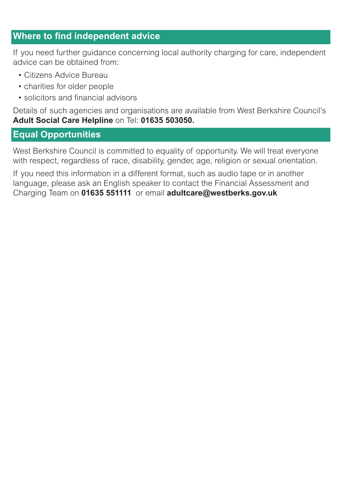## **Where to find independent advice**

If you need further guidance concerning local authority charging for care, independent advice can be obtained from:

- Citizens Advice Bureau
- charities for older people
- solicitors and financial advisors

Details of such agencies and organisations are available from West Berkshire Council's **Adult Social Care Helpline** on Tel: **01635 503050.**

## **Equal Opportunities**

West Berkshire Council is committed to equality of opportunity. We will treat everyone with respect, regardless of race, disability, gender, age, religion or sexual orientation.

If you need this information in a different format, such as audio tape or in another language, please ask an English speaker to contact the Financial Assessment and Charging Team on **01635 551111** or email **adultcare@westberks.gov.uk**